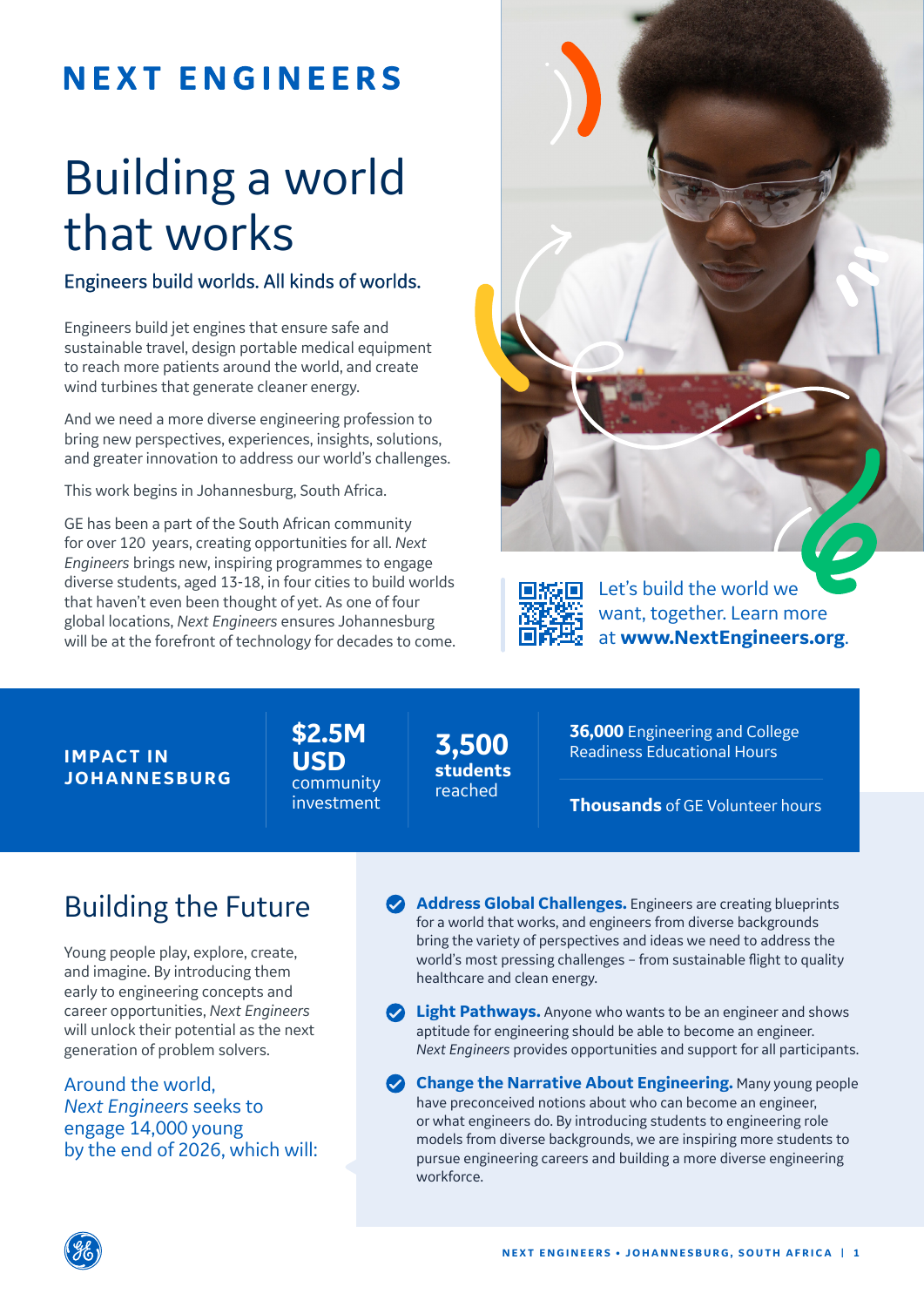# **NEXT ENGINEERS**

# Building a world that works

### Engineers build worlds. All kinds of worlds.

Engineers build jet engines that ensure safe and sustainable travel, design portable medical equipment to reach more patients around the world, and create wind turbines that generate cleaner energy.

And we need a more diverse engineering profession to bring new perspectives, experiences, insights, solutions, and greater innovation to address our world's challenges.

This work begins in Johannesburg, South Africa.

GE has been a part of the South African community for over 120 years, creating opportunities for all. *Next Engineers* brings new, inspiring programmes to engage diverse students, aged 13-18, in four cities to build worlds that haven't even been thought of yet. As one of four global locations, *Next Engineers* ensures Johannesburg will be at the forefront of technology for decades to come.





Let's build the world we want, together. Learn more at **www.NextEngineers.org**.

**IMPACT IN JOHANNE SBURG**  **\$2.5M USD** community investment

**3,500 students**  reached

**36,000** Engineering and College Readiness Educational Hours

**Thousands** of GE Volunteer hours

# Building the Future

Young people play, explore, create, and imagine. By introducing them early to engineering concepts and career opportunities, *Next Engineers* will unlock their potential as the next generation of problem solvers.

Around the world, *Next Engineers* seeks to engage 14,000 young by the end of 2026, which will: **Address Global Challenges.** Engineers are creating blueprints for a world that works, and engineers from diverse backgrounds bring the variety of perspectives and ideas we need to address the world's most pressing challenges – from sustainable flight to quality healthcare and clean energy.

**2** Light Pathways. Anyone who wants to be an engineer and shows aptitude for engineering should be able to become an engineer. *Next Engineers* provides opportunities and support for all participants.

**Change the Narrative About Engineering.** Many young people have preconceived notions about who can become an engineer, or what engineers do. By introducing students to engineering role models from diverse backgrounds, we are inspiring more students to pursue engineering careers and building a more diverse engineering workforce.